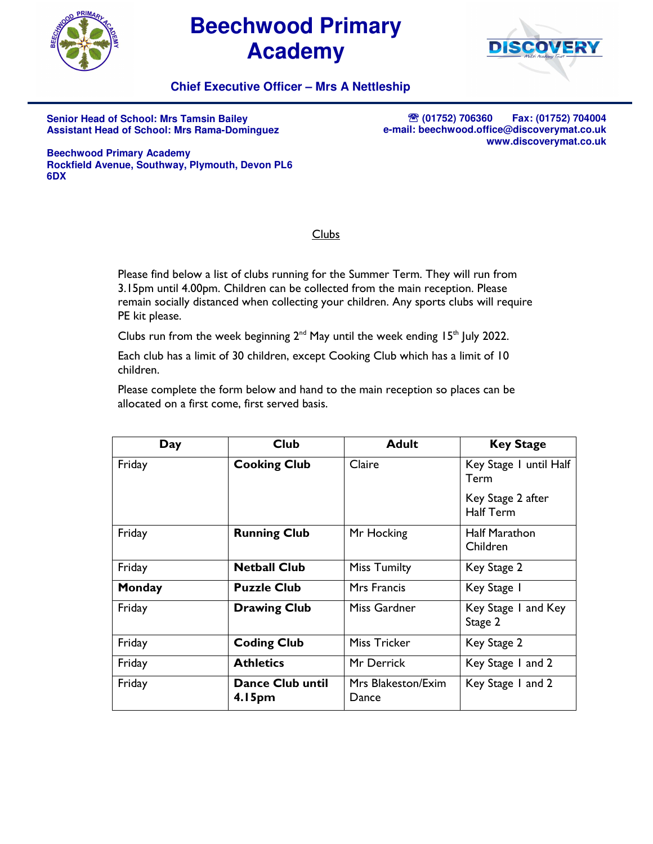

## **Beechwood Primary Academy**



## **Chief Executive Officer – Mrs A Nettleship**

**Senior Head of School: Mrs Tamsin Bailey Assistant Head of School: Mrs Rama-Dominguez** 

℡ **(01752) 706360 Fax: (01752) 704004 e-mail: beechwood.office@discoverymat.co.uk www.discoverymat.co.uk**

**Beechwood Primary Academy Rockfield Avenue, Southway, Plymouth, Devon PL6 6DX** 

## Clubs

Please find below a list of clubs running for the Summer Term. They will run from 3.15pm until 4.00pm. Children can be collected from the main reception. Please remain socially distanced when collecting your children. Any sports clubs will require PE kit please.

Clubs run from the week beginning  $2^{nd}$  May until the week ending 15<sup>th</sup> July 2022.

Each club has a limit of 30 children, except Cooking Club which has a limit of 10 children.

Please complete the form below and hand to the main reception so places can be allocated on a first come, first served basis.

| Day    | <b>Club</b>                | <b>Adult</b>                | <b>Key Stage</b>                      |
|--------|----------------------------|-----------------------------|---------------------------------------|
| Friday | <b>Cooking Club</b>        | Claire                      | Key Stage 1 until Half<br>Term        |
|        |                            |                             | Key Stage 2 after<br><b>Half Term</b> |
| Friday | <b>Running Club</b>        | Mr Hocking                  | <b>Half Marathon</b><br>Children      |
| Friday | <b>Netball Club</b>        | <b>Miss Tumilty</b>         | Key Stage 2                           |
| Monday | <b>Puzzle Club</b>         | Mrs Francis                 | Key Stage 1                           |
| Friday | <b>Drawing Club</b>        | Miss Gardner                | Key Stage 1 and Key<br>Stage 2        |
| Friday | <b>Coding Club</b>         | <b>Miss Tricker</b>         | Key Stage 2                           |
| Friday | <b>Athletics</b>           | Mr Derrick                  | Key Stage 1 and 2                     |
| Friday | Dance Club until<br>4.15pm | Mrs Blakeston/Exim<br>Dance | Key Stage 1 and 2                     |